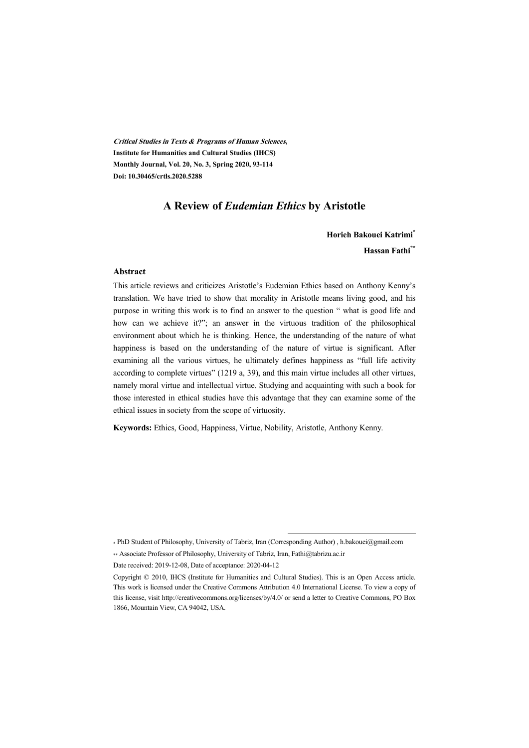**Critical Studies in Texts & Programs of Human Sciences, Institute for Humanities and Cultural Studies (IHCS) Monthly Journal, Vol. 20, No. 3, Spring 2020, 93-114 Doi: 10.30465/crtls.2020.5288** 

#### **A Review of** *Eudemian Ethics* **by Aristotle**

**Horieh Bakouei Katrimi\* Hassan Fathi\*\***

#### **Abstract**

This article reviews and criticizes Aristotle's Eudemian Ethics based on Anthony Kenny's translation. We have tried to show that morality in Aristotle means living good, and his purpose in writing this work is to find an answer to the question " what is good life and how can we achieve it?"; an answer in the virtuous tradition of the philosophical environment about which he is thinking. Hence, the understanding of the nature of what happiness is based on the understanding of the nature of virtue is significant. After examining all the various virtues, he ultimately defines happiness as "full life activity according to complete virtues" (1219 a, 39), and this main virtue includes all other virtues, namely moral virtue and intellectual virtue. Studying and acquainting with such a book for those interested in ethical studies have this advantage that they can examine some of the ethical issues in society from the scope of virtuosity.

**Keywords:** Ethics, Good, Happiness, Virtue, Nobility, Aristotle, Anthony Kenny.

\* PhD Student of Philosophy, University of Tabriz, Iran (Corresponding Author) , h.bakouei@gmail.com \*\* Associate Professor of Philosophy, University of Tabriz, Iran, Fathi@tabrizu.ac.ir

:

Date received: 2019-12-08, Date of acceptance: 2020-04-12

Copyright © 2010, IHCS (Institute for Humanities and Cultural Studies). This is an Open Access article. This work is licensed under the Creative Commons Attribution 4.0 International License. To view a copy of this license, visit http://creativecommons.org/licenses/by/4.0/ or send a letter to Creative Commons, PO Box 1866, Mountain View, CA 94042, USA.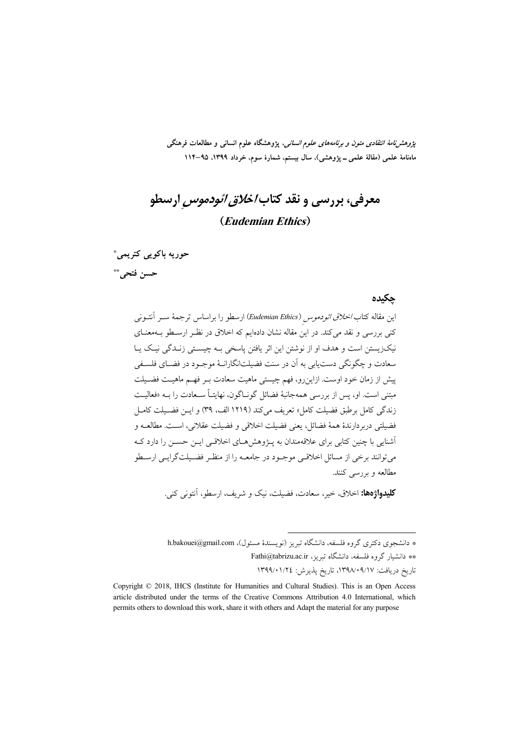*پژوهشنامهٔ انتقادی متون و برنامههای علوم انسانی*، پژوهشگاه علوم انسانی و مطالعات فرهنگی ماهنامهٔ علمی (مقالهٔ علمی ــ پژوهشی)، سال بیستم، شمارهٔ سوم، خرداد ۱۳۹۹، ۹۵–۱۱۴

معرفی، بررسی و نقد کتاب *اخلاق ائودموس* ارسطو (Eudemian Ethics)

حوريه باكويي كتريمي\* حسن فتحي...

#### حكىدە

این مقاله کتاب/*خلاقی ائودموس (Eudemian Ethics*) ارسطو را براساس ترجمهٔ ســر آنتــونی کنی بررسی و نقد میکند. در این مقاله نشان دادهایم که اخلاق در نظـر ارسـطو بـهمعنـای نیک(پستن است و هدف او از نوشتن این اثر یافتن پاسخی بـه چیسـتی زنـدگی نیـک پـا سعادت و چگونگي دست يابي به آن در سنت فضيلتانگارانـهٔ موجـود در فضـاي فلسـفي پیش از زمان خود اوست. ازاین رو، فهم چیستی ماهیت سعادت بـر فهـم ماهیـت فضـیلت مبتنی است. او، پس از بررسی همهجانبهٔ فضائل گونـاگون، نهایتـاً سـعادت را بــه «فعالیــت زندگی کامل برطبق فضیلت کامل» تعریف میکند (۱۲۱۹ الف، ۳۹) و ایــن فضــیلت کامــل فضيلتي دربردارندۀ همۀ فضائل، يعني فضيلت اخلاقي و فضيلت عقلاني، است. مطالعــه و أشنایی با چنین کتابی برای علاقهمندان به پـژوهش هـای اخلاقـی ایـن حسـن را دارد کـه می توانند برخی از مسائل اخلاقے موجـود در جامعــه را از منظـر فضـيلتگرايــی ارســطو مطالعه و بررسی کنند.

**كليدواژهها:** اخلاق، خير، سعادت، فضيلت، نيك و شريف، ارسطو، آنتوني كني.

\* دانشجوی دکتری گروه فلسفه، دانشگاه تبریز (نویسندهٔ مسئول)، h.bakouei@gmail.com \*\* دانشبار گروه فلسفه، دانشگاه تبریز، Fathi@tabrizu.ac.ir

تاريخ دريافت: ٠٩/١٧، ١٣٩٨/٠٩/١٧، تاريخ يذيرش: ١٣٩٩/٠١/٢٤

Copyright © 2018, IHCS (Institute for Humanities and Cultural Studies). This is an Open Access article distributed under the terms of the Creative Commons Attribution 4.0 International, which permits others to download this work, share it with others and Adapt the material for any purpose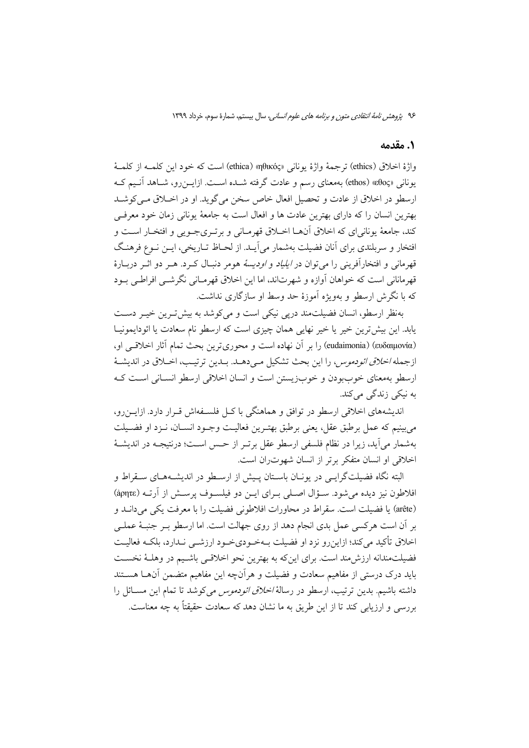#### 1. مقدمه

واژهٔ اخلاق (ethics) ترجمهٔ واژهٔ یونانی «θικός» (ethica) است که خود این کلمـه از کلمـهٔ یونانی «ethos) «ethos) بهمعنای رسم و عادت گرفته شـده اسـت. ازایــزرو، شـاهد آنـیم کـه ارسطو در اخلاق از عادت و تحصیل افعال خاص سخن می گوید. او در اخبلاق مبی کوشید بهترين انسان را كه داراي بهترين عادت ها و افعال است به جامعهٔ يوناني زمان خود معرفيي کند، جامعهٔ یونانیای که اخلاق آنهـا اخــلاق قهرمــانی و برتــریجــویی و افتخــار اســت و افتخار و سربلندي براي اّنان فضيلت بهشمار مي اّيــد. از لحــاظ تــاريخي، ايــن نــوع فرهنـگ قهرماني و افتخارآفريني را مي توان در *ايلياد و اوديسة* هومر دنبـال كـرد. هـر دو اثـر دربـارهٔ قهرمانانی است که خواهان آوازه و شهرتاند، اما این اخلاق قهرمـانی نگرشــی افراطــی بــود که با نگرش ارسطو و پهویژه آموزهٔ حد وسط او سازگاری نداشت.

بهنظر ارسطو، انسان فضیلت مند دریی نیکی است و می کوشد به بیش تـرین خیـر دسـت یابد. این بیش ترین خیر یا خیر نهایی همان چیزی است که ارسطو نام سعادت یا ائودایمونیـا (ευδαιμονία) (eudaimonia) را بر آن نهاده است و محوري ترين بحث تمام آثار اخلاقي او، ازجمله *اخلاق ائودموس، را*اين بحث تشكيل مـىدهـد. بـدين ترتيـب، اخـلاق در انديشـهٔ ارسطو بهمعناى خوببودن و خوبزيستن است و انسان اخلاقى ارسطو انسـانى اسـت كـه به نیکی زندگی میکند.

اندیشههای اخلاقی ارسطو در توافق و هماهنگی با کل فلسـفهاش قـرار دارد. ازایـنرو، مي بينيم كه عمل برطبق عقل، يعني برطبق بهتـرين فعاليـت وجـود انســان، نــزد او فضــيلت بهشمار می]ید، زیرا در نظام فلسفی ارسطو عقل برتـر از حـس اسـت؛ درنتیجـه در اندیشـهٔ اخلاقی او انسان متفکر برتر از انسان شهوتران است.

البته نگاه فضیلتگرایــی در یونــان باســتان پــیش از ارســطو در اندیشــههــای ســقراط و افلاطون نيز ديده مي شود. سـؤال اصـلي بـراي ايـن دو فيلسـوف پرسـش از آرتـه (ἀρητε) (arête) يا فضيلت است. سقراط در محاورات افلاطوني فضيلت را با معرفت يكي مي دانـد و بر أن است هركسي عمل بدي انجام دهد از روى جهالت است. اما ارسطو بـر جنبـهٔ عملـي اخلاق تأكيد مي كند؛ ازاين رو نزد او فضيلت بـهخـودي<ود ارزشــي نـدارد، بلكـه فعاليـت فضیلتمندانه ارزش مند است. برای این که به بهترین نحو اخلاقبی باشـیم در وهلـهٔ نخسـت باید درک درستی از مفاهیم سعادت و فضیلت و هر آنچه این مفاهیم متضمن آنهــا هســتند داشته باشیم. بدین ترتیب، ارسطو در رسالهٔ *اخلاق ائودموس* میکوشد تا تمام این مســائل را بررسی و ارزیابی کند تا از این طریق به ما نشان دهد که سعادت حقیقتاً به چه معناست.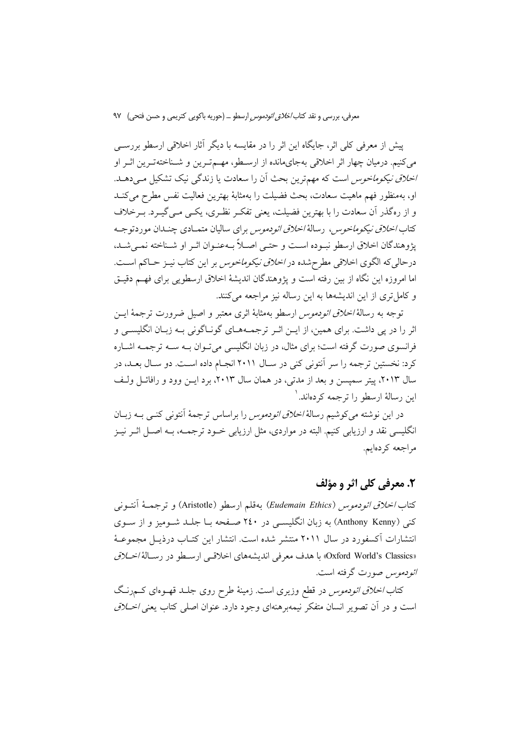پیش از معرفی کلی اثر، جایگاه این اثر را در مقایسه با دیگر آثار اخلاقی ارسطو بررسبی می کنیم. درمیان چهار اثر اخلاقی بهجایمانده از ارسطو، مهــمتـرین و شــناختهتـرین اثـر او *اخلاق نیکوماخوس* است که مهمترین بحث اَن را سعادت یا زندگی نیک تشکیل مـی دهـد. او، بهمنظور فهم ماهيت سعادت، بحث فضيلت را بهمثابهٔ بهترين فعاليت نفس مطرح ميكنـد و از رهگذر آن سعادت را با بهترین فضیلت، یعنی تفک نظـری، یکـی مـی گیـرد. بـرخلاف کتاب *اخلاق نیکوماخوس،* رسالهٔ *اخلاق ائودموس* برای سالیان متمـادی چنـدان موردتوجـه يژوهندگان اخلاق ارسطو نبـوده اسـت و حتـي اصـلاً بـهعنـوان اثـر او شـناخته نمـي شـد، درحالی که الگوی اخلاقی مطرح شده در *اخلاق نیکوماخوس* بر این کتاب نیـز حـاکم اسـت. اما امروزه این نگاه از بین رفته است و پژوهندگان اندیشهٔ اخلاق ارسطویی برای فهم دقیـق و كامل ترى از اين انديشهها به اين رساله نيز مراجعه مى كنند.

توجه به رسالة *اخلاق ائودموس* ارسطو بهمثابهٔ اثری معتبر و اصیل ضرورت ترجمهٔ ایــن اثر را در پی داشت. برای همین، از ایــن اثــر ترجمــههــای گونــاگونی بــه زبــان انگلیســی و فرانسوی صورت گرفته است؛ برای مثال، در زبان انگلیسی میتوان بـه سـه ترجمـه اشـاره کرد: نخستین ترجمه را سر آنتونی کنی در سـال ۲۰۱۱ انجـام داده اسـت. دو سـال بعــد، در سال ۲۰۱۳، پیتر سمپسن و بعد از مدتی، در همان سال ۲۰۱۳، برد ایـن وود و رافائـل ولـف این رسالهٔ ارسطو را ترجمه کردهاند. ۱

در این نوشته می کوشیم رسالهٔ *اخلاق ائودموس* را براساس ترجمهٔ آنتونی کنبی بـه زبــان انگلیسی نقد و ارزیابی کنیم. البته در مواردی، مثل ارزیابی خــود ترجمــه، بــه اصــل اثــر نیــز مراجعه کردهایم.

# ٢. معرفي کلي اثر و مؤلف

كتاب *اخلاق ائودموس (Eudemain Ethics*) بهقلم ارسطو (Aristotle) و ترجمــهٔ أنتــونى کنی (Anthony Kenny) به زبان انگلیسـی در ۲٤۰ صـفحه بــا جلــد شــوميز و از ســوی انتشارات اَکسفورد در سال ۲۰۱۱ منتشر شده است. انتشار این کتـاب درذیـل مجموعـهٔ «Oxford World's Classics» با هدف معرفي انديشههاي اخلاقـي ارسـطو در رسـالة *اخـلاق ائودموس ص*ورت گرفته است.

کتاب *اخلاق ائودموس* در قطع وزیری است. زمینهٔ طرح روی جلـد قهـوهای کــمرنـگ است و در آن تصوير انسان متفكر نيمه همنهاي وجود دارد. عنوان اصلي كتاب يعني *اخــلاق*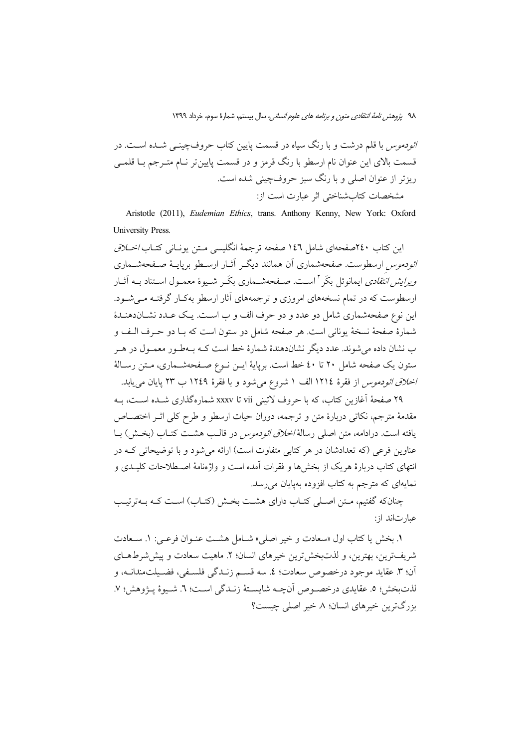*ائودموس* با قلم درشت و با رنگ سیاه در قسمت پایین کتاب حروفچینــی شــده اســت. در قسمت بالای این عنوان نام ارسطو با رنگ قرمز و در قسمت پایینتر نـام متــرجم بــا قلمــی ریزتر از عنوان اصلی و با رنگ سبز حروفچینی شده است. مشخصات كتاب شناختي اثر عبارت است از:

Aristotle (2011), Eudemian Ethics, trans. Anthony Kenny, New York: Oxford **University Press.** 

این کتاب ۲٤٠صفحهای شامل ١٤٦ صفحه ترجمهٔ انگلیسی متن یونانی کتـاب/*خـلاق ائودموس* ارسطوست. صفحهشماری آن همانند دیگـر آثــار ارســطو بریایــهٔ صــفحهشــماری *ویرایش انتقادی* ایمانوئل بکَر <sup>۲</sup> اسـت. صـفحهشـماری بکَـر شـیوهٔ معمـول اسـتناد بـه اَثــار ارسطوست که در تمام نسخههای امروزی و ترجمههای آثار ارسطو بهکـار گرفتـه مـیشـود. این نوع صفحهشماری شامل دو عدد و دو حرف الف و ب است. یک عـدد نشــاندهنـدهٔ شمارهٔ صفحهٔ نسخهٔ یونانی است. هر صفحه شامل دو ستون است که بـا دو حـرف الـف و ب نشان داده می شوند. عدد دیگر نشاندهندهٔ شمارهٔ خط است کــه بــهطـور معمــول در هــر ستون یک صفحه شامل ۲۰ تا ٤٠ خط است. برپایهٔ ایــن نــوع صــفحهشــماری، مـتن رســالهٔ *اخلاق ائودموس* از فقرهٔ ۱۲۱۶ الف ۱ شروع میشود و با فقرهٔ ۱۲٤۹ ب ۲۳ پایان میbیابد.

۲۹ صفحهٔ آغازین کتاب، که با حروف لاتینی vii تا xxxv شمارهگذاری شـده اسـت، بـه مقدمهٔ مترجم، نکاتی دربارهٔ متن و ترجمه، دوران حیات ارسطو و طرح کلی اثـر اختصــاص يافته است. درادامه، متن اصلي رسالهٔ *اخلاق ائو دموس* در قالـب هشـت کتـاب (بخـش) بــا عناوین فرعی (که تعدادشان در هر کتابی متفاوت است) ارائه می شود و با توضیحاتی کـه در انتهای کتاب دربارهٔ هریک از بخشها و فقرات آمده است و واژهنامهٔ اصـطلاحات کلیــدی و نمایهای که مترجم به کتاب افزوده بهیایان میرسد.

چنانکه گفتیم، متن اصلی کتـاب دارای هشـت بخـش (کتـاب) اسـت کـه بـهتر تيـب عبار ت|ند از :

١. بخش يا كتاب اول «سعادت و خير اصلي» شــامل هشــت عنــوان فرعــي: ١. ســعادت شريفترين، بهترين، و لذتبخش ترين خيرهاي انسان؛ ٢. ماهيت سعادت و پيش شرط هــاي أن؛ ٣. عقايد موجود درخصوص سعادت؛ ٤. سه قسـم زنـدگي فلسـفي، فضـيلتمندانــه، و لذتبخش؛ ٥. عقايدي درخصوص آنچـه شايسـتهٔ زنـدگي اسـت؛ ٦. شـيوهٔ يــژوهش؛ ٧. يزر گπرين خبرهاي انسان؛ ٨. خبر اصلي چيست؟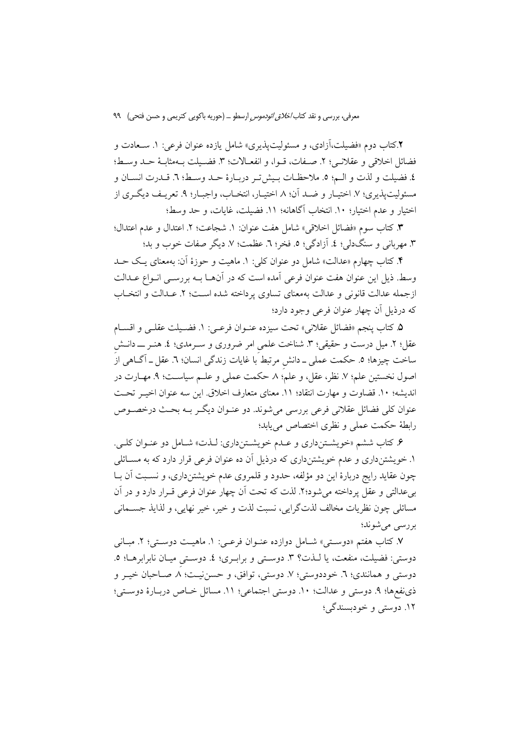۲.کتاب دوم «فضیلت،آزادی، و مسئولیتیذیری» شامل یازده عنوان فرعی: ۱. سـعادت و فضائل اخلاقي و عقلاني؛ ٢. صفات، قبوا، و انفعـالات؛ ٣. فضـيلت بـهمثابـهٔ حـد وسبـط؛ ٤. فضيلت و لذت و الـم؛ ٥. ملاحظـات بـيش تـر دربـارهٔ حـد وسـط؛ ٦. قـدرت انسـان و مسئوليتپذيري؛ ٧. اختيـار و ضـد آن؛ ٨. اختيـار، انتخـاب، واجبـار؛ ٩. تعريـف ديگـري از اختيار و عدم اختيار؛ ١٠. انتخاب أكاهانه؛ ١١. فضيلت، غايات، و حد وسط؛

٣. كتاب سوم «فضائل اخلاقي» شامل هفت عنوان: ١. شجاعت؛ ٢. اعتدال و عدم اعتدال؛ ٣. مهرباني و سنگدلي؛ ٤. آزادگي؛ ٥. فخر؛ ٦. عظمت؛ ٧. ديگر صفات خوب و بد؛

۴. کتاب چهارم «عدالت» شامل دو عنوان کلی: ۱. ماهیت و حوزهٔ آن: بهمعنای یک حــد وسط. ذيل اين عنوان هفت عنوان فرعي آمده است كه در آنهـا بــه بررســي انــواع عــدالت ازجمله عدالت قانونی و عدالت بهمعنای تساوی پرداخته شده اسـت؛ ۲. عــدالت و انتخــاب که درذیل آن چهار عنوان فرعی وجود دارد؛

۰. كتاب ينجم «فضائل عقلاني» تحت سيزده عنــوان فرعــي: ١. فضــيلت عقلــي و اقســام عقل؛ ۲. میل درست و حقیقی؛ ۳. شناخت علمی امر ضروری و سـرمدی؛ ٤. هنـر ـــ دانــش ساخت چیزها؛ ٥. حکمت عملی ــ دانش مرتبط با غایات زندگی انسان؛ ٦. عقل ــ آگــاهی از اصول نخستين علم؛ ٧. نظر، عقل، و علم؛ ٨. حكمت عملي و علــم سياســت؛ ٩. مهــارت در انديشه؛ ١٠. قضاوت و مهارت انتقاد؛ ١١. معناي متعارف اخلاق. اين سه عنوان اخيـر تحـت عنوان كلي فضائل عقلاني فرعي بررسي مي شوند. دو عنــوان ديگــر بــه بحــث درخصــوص رابطهٔ حکمت عملی و نظری اختصاص می یابد؛

۶. کتاب ششم «خویشـتنداری و عـدم خویشـتنداری: لـذت» شـامل دو عنـوان کلـی. ۱. خویشتنداری و عدم خویشتنداری که درذیل آن ده عنوان فرعی قرار دارد که به مسـائلی چون عقاید رایج دربارهٔ این دو مؤلفه، حدود و قلمروی عدم خویشتنداری، و نسبت آن بـا بیعدالتی و عقل پرداخته میشود؟۲. لذت که تحت اَن چهار عنوان فرعی قــرار دارد و در اَن مسائلي چون نظريات مخالف لذتگرايي، نسبت لذت و خير، خير نهايي، و لذايذ جســماني بررسي مي شوند؛

۷. کتاب هفتم «دوسـتـی» شـامل دوازده عنــوان فرعــی: ۱. ماهیــت دوسـتـی؛ ۲. مبــانـی دوستي: فضيلت، منفعت، يا لـذت؟ ٣. دوستي و برابـري؛ ٤. دوسـتي ميـان نابرابرهـا؛ ٥. دوستی و همانندی؛ ٦. خوددوستی؛ ٧. دوستی، توافق، و حسننیت؛ ٨ صـاحبان خیــر و ذي نفعها؛ ٩. دوستي و عدالت؛ ١٠. دوستي اجتماعي؛ ١١. مسائل خـاص دربـارة دوسـتي؛ ١٢. دوستي و خودبسندگي؛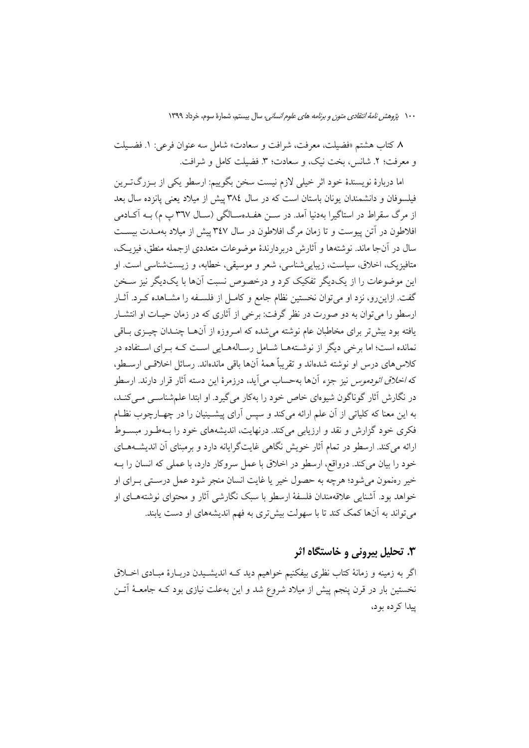٨ كتاب هشتم «فضيلت، معرفت، شرافت و سعادت» شامل سه عنوان فرعي: ١. فضـيلت و معرفت؛ ٢. شانس، بخت نيک، و سعادت؛ ٣. فضيلت کامل و شرافت.

اما دربارهٔ نویسندهٔ خود اثر خیلی لازم نیست سخن بگوییم: ارسطو یکی از بـزرگتـرین فیلسوفان و دانشمندان یونان باستان است که در سال ۳۸٤ پیش از میلاد یعنی یانزده سال بعد از مرگ سقراط در استاگیرا بهدنیا آمد. در ســن هفــدهســالگی (ســال ٣٦٧ پ م) بــه آکــادمی افلاطون در آتن پیوست و تا زمان مرگ افلاطون در سال ۳٤۷ پیش از میلاد بهمـدت بیســت سال در آنجا ماند. نوشتهها و آثارش دربردارندهٔ موضوعات متعددی ازجمله منطق، فیزیـک، متافیزیک، اخلاق، سیاست، زیباییشناسی، شعر و موسیقی، خطابه، و زیستشناسی است. او این موضوعات را از یکدیگر تفکیک کرد و درخصوص نسبت آنها با یکدیگر نیز سـخن گفت. ازاین رو، نزد او می توان نخستین نظام جامع و کامـل از فلســفه را مشــاهده کــرد. آثــار ارسطو را میتوان به دو صورت در نظر گرفت: برخی از آثاری که در زمان حیـات او انتشـار یافته بود بیش تر برای مخاطبان عام نوشته می شده که امـروزه از آنهــا چنــدان چیــزی بــاقی .<br>نمانده است؛ اما برخی دیگر از نوشـتههــا شــامل رســالههــایی اســت کــه بــرای اســتفاده در كلاس هاي درس او نوشته شدهاند و تقريباً همهٔ آنها باقي ماندهاند. رسائل اخلاقـبي ارســطو، كه *اخلاق ائودموس* نيز جزء آنها بهحساب مي[يد، درزمرهٔ اين دسته آثار قرار دارند. ارسطو در نگارش آثار گوناگون شیوهای خاص خود را بهکار می گیرد. او ابتدا علم شناسبی مبی کنـد. به این معنا که کلیاتی از آن علم ارائه می کند و سپس آرای پیشـینیان را در چهــارچوب نظــام فکری خود گزارش و نقد و ارزیابی می کند. درنهایت، اندیشههای خود را بـهطـور مبسـوط ارائه می کند. ارسطو در تمام آثار خویش نگاهی غایتگرایانه دارد و برمبنای آن اندیشـههـای خود را بیان میکند. درواقع، ارسطو در اخلاق با عمل سروکار دارد، با عملی که انسان را بـه خير رەنمون مي شود؛ هرچه به حصول خير يا غايت انسان منجر شود عمل درسـتي بـراي او خواهد بود. آشنایی علاقهمندان فلسفهٔ ارسطو با سبک نگارشی آثار و محتوای نوشتههـای او میتواند به آنها کمک کند تا با سهولت بیشتری به فهم اندیشههای او دست یابند.

## ۳. تحلیل بیرونی و خاستگاه اثر

اگر به زمینه و زمانهٔ کتاب نظری بیفکنیم خواهیم دید ک4 اندیشـیدن دربـارهٔ مبـادی اخــلاق نخستین بار در قرن پنجم پیش از میلاد شروع شد و این بهعلت نیازی بود کـه جامعـهٔ آتــن پیدا کر ده بو د،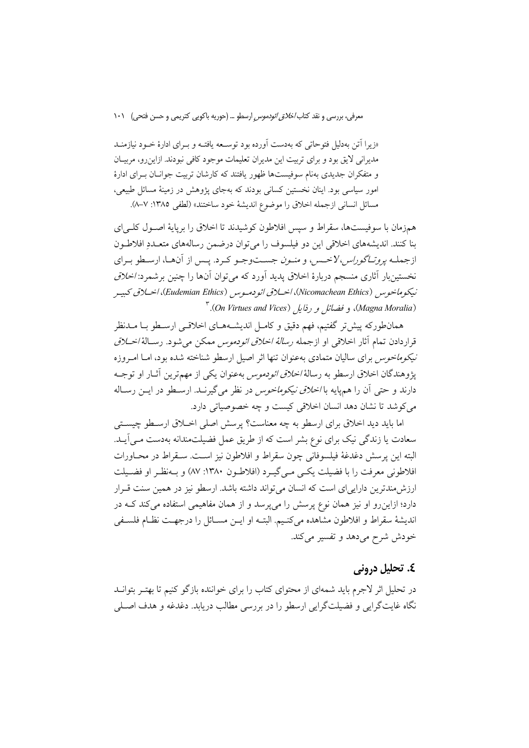«زیرا آتن بهدلیل فتوحاتی که بهدست آورده بود توسیعه یافتیه و بیرای ادارهٔ خبود نیازمنید مدیرانی لایق بود و برای تربیت این مدیران تعلیمات موجود کافی نبودند. ازاین رو، مربیـان و متفکران جدیدی بهنام سوفیستها ظهور یافتند که کارشان تربیت جوانان بـرای ادارهٔ امور سیاسی بود. اینان نخستین کسانی بودند که بهجای پژوهش در زمینهٔ مسائل طبیعی، مسائل انساني ازجمله اخلاق را موضوع انديشة خود ساختند» (لطفي ١٣٨٥: ٧-٨).

همزمان با سوفیستها، سقراط و سپس افلاطون کوشیدند تا اخلاق را برپایهٔ اصـول کلـی|ی بنا كنند. انديشههاي اخلاقي اين دو فيلسوف را مي توان درضمن رسالههاي متعـددِ افلاطـون ازجملـه *يروتـاگوراس، لاخـس*، و *منـون* جسـتوجـو كـرد. يـس از آنهـا، ارسـطو بـراي نخستینبار آثاری منسجم دربارهٔ اخلاق پدید آورد که می توان آنها را چنین برشمرد: *اخلاق* نيكوماخوس (Nicomachean Ethics)، اخبلاق ائو دميوس (Eudemian Ethics)، اخبلاق كبيير (Magna Moralia)، و فضائل و رذايل (On Virtues and Vices). "

همانطورکه پیش تر گفتیم، فهم دقیق و کامـل اندیشــههـای اخلاقــی ارسـطو بــا مــدنظر قراردادن تمام آثار اخلاقی او ازجمله *رسالهٔ اخلاق ائودموس* ممکن می شود. رسـالهٔ *اخــلاق نیکوماخوس* برای سالیان متمادی بهعنوان تنها اثر اصیل ارسطو شناخته شده بود، امـا امـروزه يژوهندگان اخلاق ارسطو به رسالهٔ *اخلاق ائودموس* بهعنوان يكي از مهمترين آثــار او توجــه دارند و حتی آن را همهایه با *اخلاق نیکوماخوس* در نظر می گیرنــد. ارســطو در ایــن رســاله مي كوشد تا نشان دهد انسان اخلاقي كيست و چه خصوصياتي دارد.

اما بايد ديد اخلاق براي ارسطو به چه معناست؟ پرسش اصلي اخـلاق ارسـطو چيسـتي سعادت یا زندگی نیک برای نوع بشر است که از طریق عمل فضیلتمندانه بهدست مـی]یـد. البته اين پرسش دغدغهٔ فيلسوفاني چون سقراط و افلاطون نيز اسـت. سـقراط در محـاورات افلاطوني معرفت را با فضيلت يكبي مبي گيـرد (افلاطـون ١٣٨٠: ٨٧) و بــهنظـر او فضـيلت ارزش مندترین داراییای است که انسان می تواند داشته باشد. ارسطو نیز در همین سنت قـرار دارد؛ ازاین رو او نیز همان نوع پرسش را می پرسد و از همان مفاهیمی استفاده می کند کـه در انديشهٔ سقراط و افلاطون مشاهده مي كنـيم. البتـه او ايــن مســائل را درجهـت نظـام فلســفي خودش شرح میدهد و تفسیر میکند.

### ٤. تحليل دروني

در تحلیل اثر لاجرم باید شمهای از محتوای کتاب را برای خواننده بازگو کنیم تا بهتـر بتوانــد نگاه غايتگرايي و فضيلتگرايي ارسطو را در بررسي مطالب دريابد. دغدغه و هدف اصــلي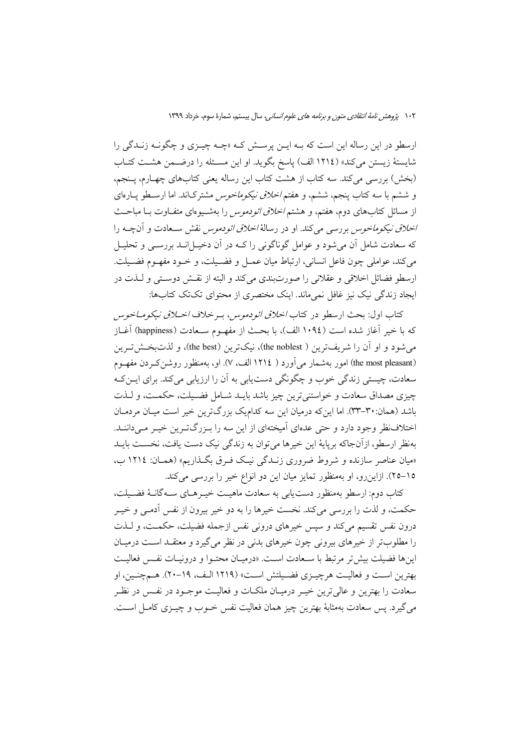ارسطو در این رساله این است که بـه ایــن پرســش کــه «چــه چیــزی و چگونــه زنــدگی را شایستهٔ زیستن میکند» (١٢١٤ الف) پاسخ بگوید. او این مسـئله را درضـمن هشـت کتـاب (بخش) بررسی میکند. سه کتاب از هشت کتاب این رساله یعنی کتابهای چهـارم، پــنجم، و ششم با سه کتاب پنجم، ششم، و هفتم *اخلاق نیکوماخوس* مشترکاند. اما ارسـطو پــارهای از مسائل کتابهای دوم، هفتم، و هشتم *اخلاق ائودموس* را بهشـیوهای متفـاوت بـا مباحـث *اخلاق نیکوماخوس ب*ررسی میکند. او در رسالهٔ *اخلاق ائودموس نقش س*ـعادت و آنچــه را که سعادت شامل آن می شود و عوامل گوناگونی را کـه در آن دخیـل|نــد بررســی و تحلیــل مي كند، عواملي چون فاعل انساني، ارتباط ميان عمــل و فضــيلت، و خــود مفهــوم فضــيلت. ارسطو فضائل اخلاقی و عقلانی را صورتبندی میکند و البته از نقش دوستی و لـذت در ایجاد زندگی نیک نیز غافل نمیماند. اینک مختصری از محتوای تکتک کتابها:

كتاب اول: بحث ارسطو در كتاب *اخلاق ائودموس،* بـرخلاف *اخــلاق نيكومــاخوس* كه با خير آغاز شده است (١٠٩٤ الف)، با بحث از مفهــوم ســعادت (happiness) آغــاز می شود و او آن را شریفترین ( the noblest)، نیکترین (the best)، و لذت بخش تیرین (the most pleasant) امور بهشمار می آورد ( ١٢١٤ الف، ٧). او، بهمنظور روشن كـردن مفهـوم سعادت، چیستی زندگی خوب و چگونگی دست پایی به آن را ارزیابی می کند. برای ایــن کــه چیزی مصداق سعادت و خواستنی ترین چیز باشد بایـد شـامل فضـیلت، حکمـت، و لـذت باشد (همان:۳۰-۳۳). اما این که درمیان این سه کدامیک بزرگترین خیر است میـان مردمـان اختلاف نظر وجود دارد و حتی عدهای آمیختهای از این سه را بـزرگتـرین خیـر مـیداننـد. بهنظر ارسطو، ازآنجاكه برپايهٔ اين خيرها مي توان به زندگي نيک دست يافت، نخسـت بايــد «میان عناصر سازنده و شروط ضروری زنـدگی نیـک فـرق بگـذاریم» (همـان: ١٢١٤ ب، ١٥-٢٥). ازاين رو، او بهمنظور تمايز ميان اين دو انواع خير را بررسي مي كند.

كتاب دوم: ارسطو بهمنظور دست يابي به سعادت ماهيـت خيـرهـاي ســه گانــهٔ فضــيلت، حکمت، و لذت را بررسی می کند. نخست خیرها را به دو خیر بیرون از نفس آدمـی و خیــر درون نفس تقسیم میکند و سپس خیرهای درونی نفس ازجمله فضیلت، حکمـت، و لـذت را مطلوبتر از خیرهای بیرونی چون خیرهای بدنی در نظر می گیرد و معتقـد اسـت درمیـان اينها فضيلت بيش تر مرتبط با سـعادت اسـت. «درميـان محتـوا و درونيـات نفـس فعاليـت بهترين است و فعاليت هرچيـزي فضـيلتش اسـت» (١٢١٩ الـف، ١٩-٢٠). هـمچنـين، او سعادت را بهترین و عالی ترین خیــر درمیــان ملکــات و فعالیــت موجــود در نفــس در نظــر مي گيرد. پس سعادت بهمثابهٔ بهترين چيز همان فعاليت نفس خــوب و چيــزي كامــل اســت.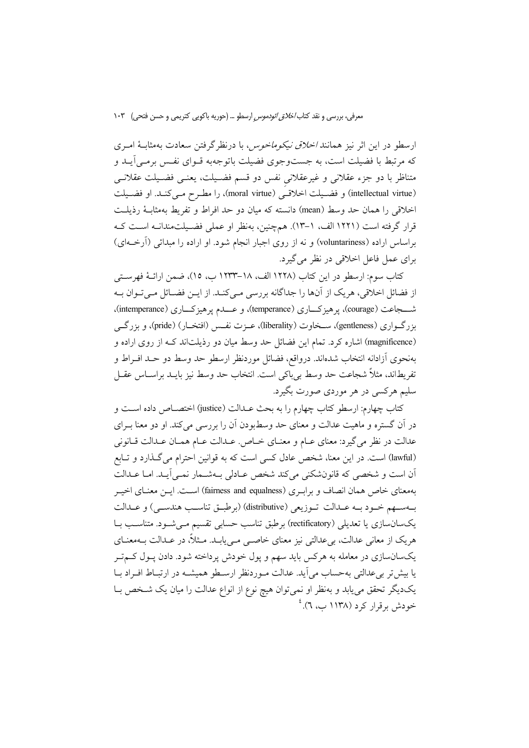ارسطو در این اثر نیز همانند *اخلاق نیکوماخوس،* با درنظر گرفتن سعادت بهمثابـهٔ امـری که مرتبط با فضیلت است، به جستوجوی فضیلت باتوجهبه قـوای نفـس برمـی آیــد و متناظر با دو جزء عقلانی و غیرعقلانی نفس دو قسم فضـیلت، یعنـی فضـیلت عقلانـی (intellectual virtue) و فضـيلت اخلاقـي (moral virtue)، را مطـرح مـي كنـد. او فضـيلت اخلاقی را همان حد وسط (mean) دانسته که میان دو حد افراط و تفریط بهمثابـهٔ رذیلـت قرار گرفته است (۱۲۲۱ الف، ۱–۱۳). همچنین، بهنظر او عملی فضـیلتمندانـه اسـت کـه براساس اراده (voluntariness) و نه از روی اجبار انجام شود. او اراده را مبدائی (آرخــهای) برای عمل فاعل اخلاقی در نظر می گیرد.

كتاب سوم: ارسطو در اين كتاب (١٢٢٨ الف، ١٨–١٢٣٣ ب، ١٥)، ضمن ارائــهٔ فهرســتـي از فضائل اخلاقی، هریک از آنها را جداگانه بررسی مـیکنـد. از ایـن فضـائل مـیتـوان بـه شـــجاعت (courage)، يو هيزكـــاري (temperance)، و عـــدم يو هيزكـــاري (intemperance). بزرگـواري (gentleness)، سـخاوت (liberality)، عــزت نفـس (افتخــار) (pride)، و بزرگــي (magnificence) اشاره کرد. تمام این فضائل حد وسط میان دو رذیلتاند کـه از روی اراده و بهنحوى آزادانه انتخاب شدهاند. درواقع، فضائل موردنظر ارسطو حد وسط دو حـد افــراط و تفريطاند، مثلاً شجاعت حد وسط بي باكي است. انتخاب حد وسط نيز بايــد براســاس عقــل سلیم هرکسی در هر موردی صورت بگیرد.

كتاب چهارم: ارسطو كتاب چهارم را به بحث عــدالت (justice) اختصـــاص داده اســـت و در آن گستره و ماهیت عدالت و معنای حد وسطبودن آن را بررسی می کند. او دو معنا بـرای عدالت در نظر مي گيرد: معناي عــام و معنــاي خــاص. عــدالت عــام همــان عــدالت قــانوني (lawful) است. در این معنا، شخص عادل کسی است که به قوانین احترام می گذارد و تـابع أن است و شخصی که قانونشکنی میکند شخص عـادلی بـهشـمار نمـی]یـد. امـا عـدالت بهمعنای خاص همان انصاف و براب ری (fairness and equalness) است. ایس معنـای اخیــر بهسهم خود به عـدالت تـوزيعي (distributive) (برطبـق تناسـب هندسـي) و عــدالت یکسانسازی یا تعدیلی (rectificatory) برطبق تناسب حسابی تقسیم مـیشـود. متناسـب بـا هریک از معانی عدالت، بیعدالتی نیز معنای خاصبی مـیbیابـد. مــثلاً، در عــدالت بــهمعنــای یکسانسازی در معامله به هرکس باید سهم و پول خودش پرداخته شود. دادن پـول کــمتــر یا بیش تر بی عدالتی به حساب می آید. عدالت مـوردنظر ارسـطو همیشــه در ارتبـاط افـراد بـا یکدیگر تحقق می پابد و بهنظر او نمی توان هیچ نوع از انواع عدالت را میان یک شـخص بــا خودش برقرار کرد (۱۱۳۸ ب، ۲).<sup>؛</sup>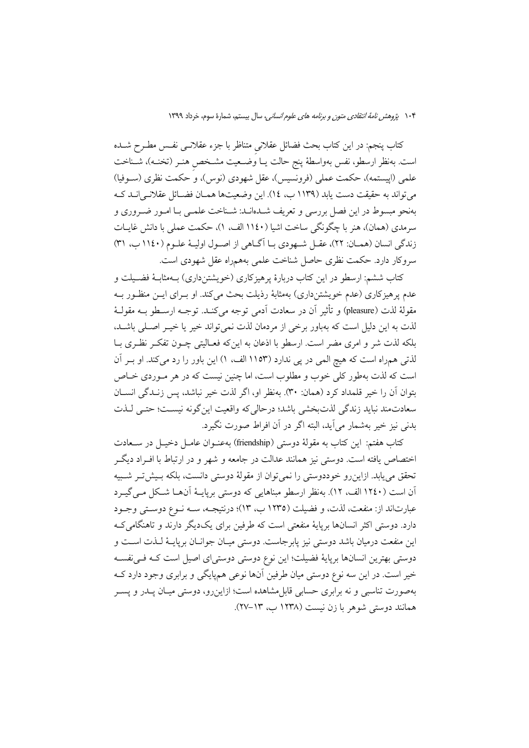كتاب پنجم: در اين كتاب بحث فضائل عقلانى متناظر با جزء عقلانــى نفــس مطــرح شــده است. بهنظر ارسطو، نفس بهواسطهٔ پنج حالت یــا وُضــعیت مشــخص هنــر (تخنــه)، شــناخت علمي (اپيستمه)، حكمت عملي (فرونسيس)، عقل شهودي (نوس)، و حكمت نظري (ســوفيا) مي تواند به حقيقت دست يابد (١١٣٩ ب، ١٤). اين وضعيتها همـان فضـائل عقلانـي|نــد كــه بهنحو مبسوط در اين فصل بررسي و تعريف شـدهانـد: شـناخت علمـي بـا امـور ضـروري و سرمدي (همان)، هنر با چگونگي ساخت اشيا (١١٤٠ الف، ١)، حكمت عملي با دانش غايـات زندگی انسان (همان: ٢٢)، عقـل شـهودي بـا آگـاهي از اصـول اوليـهٔ علـوم (١١٤٠ ب، ٣١) سروکار دارد. حکمت نظری حاصل شناخت علمی بههمراه عقل شهودی است.

کتاب ششم: ارسطو در این کتاب دربارهٔ پرهیزکاری (خویشتنداری) بـهمثابـهٔ فضـیلت و عدم پرهیزکاری (عدم خویشتنداری) بهمثابهٔ رذیلت بحث میکند. او بـرای ایــن منظـور بــه مقولة لذت (pleasure) و تأثير أن در سعادت أدمى توجه مى كنــد. توجــه ارســطو بــه مقولــهٔ لذت به این دلیل است که بهباور برخی از مردمان لذت نمیتواند خیر یا خیـر اصـلی باشــد، بلکه لذت شر و امری مضر است. ارسطو با اذعان به اینکه فعـالیتی چــون تفکــر نظـری بــا لذتی همراه است که هیچ المی در پی ندارد (۱۱۵۳ الف، ۱) این باور را رد میکند. او بـر آن است که لذت بهطور کلی خوب و مطلوب است، اما چنین نیست که در هر مـوردی خـاص بتوان آن را خير قلمداد كرد (همان: ٣٠). بهنظر او، اگر لذت خير نباشد، پس زنـدگي انســان سعادتمند نبايد زندگي لذتبخشي باشد؛ درحالي كه واقعيت اين گونه نيست؛ حتـي لـذت بدني نيز خير بهشمار مي آيد، البته اگر در آن افراط صورت نگيرد.

كتاب هفتم: اين كتاب به مقولهٔ دوستى (friendship) بهعنــوان عامــل دخيــل در ســعادت اختصاص یافته است. دوستی نیز همانند عدالت در جامعه و شهر و در ارتباط با افـراد دیگـر تحقق می یابد. ازاین رو خوددوستی را نمی توان از مقولهٔ دوستی دانست، بلکه بسش تـر شـبیه آن است (۱۲٤۰ الف، ۱۲). بهنظر ارسطو مبناهایی که دوستی برپایـهٔ آنهـا شـکل مـی&ـرد عبارتاند از: منفعت، لذت، و فضيلت (١٢٣٥ ب، ١٣)؛ درنتيجـه، ســه نــوع دوســتي وجــود دارد. دوستی اکثر انسانها برپایهٔ منفعتی است که طرفین برای یکدیگر دارند و تاهنگامی ک اين منفعت درميان باشد دوستي نيز يابرجاست. دوستي ميـان جوانــان بريايــهٔ لــذت اســت و دوستی بهترین انسانها برپایهٔ فضیلت؛ این نوع دوستی دوستی|ی اصیل است کـه فـیiفسـه خیر است. در این سه نوع دوستی میان طرفین آنها نوعی همپایگی و برابری وجود دارد ک بهصورت تناسبی و نه برابری حسابی قابل.شاهده است؛ ازاینرو، دوستی میـان پــدر و پســر همانند دوستی شوهر با زن نیست (۱۲۳۸ ب، ۱۳–۲۷).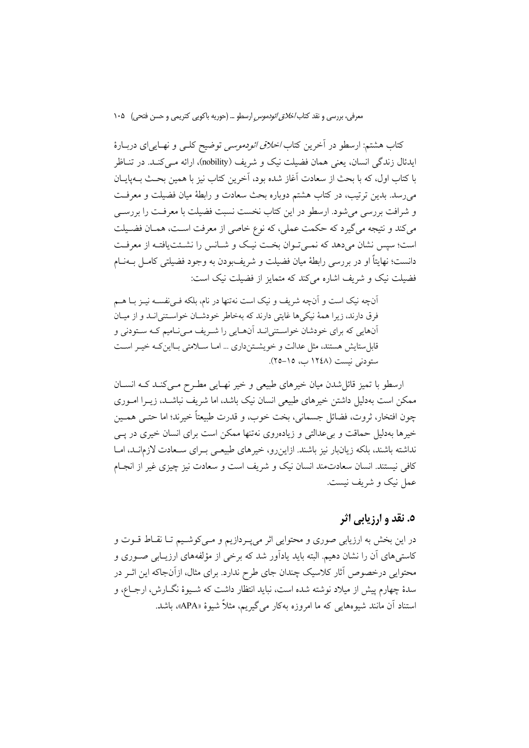کتاب هشتم: ارسطو در آخرین کتاب *اخلاق ائودموسی* توضیح کلـی و نهـایییای دربـارهٔ ايدئال زندگي انسان، يعني همان فضيلت نيک و شريف (nobility)، ارائه مـي کنـد. در تنــاظر با كتاب اول، كه با بحث از سعادت آغاز شده بود، آخرين كتاب نيز با همين بحـث بــهـيايــان می رسد. بدین ترتیب، در کتاب هشتم دوباره بحث سعادت و رابطهٔ میان فضیلت و معرفت و شرافت بررسی می شود. ارسطو در این کتاب نخست نسبت فضیلت با معرفت را بررسـی مي كند و نتيجه مي گيرد كه حكمت عملي، كه نوع خاصي از معرفت است، همـان فضـيلت است؛ سیس نشان میدهد که نمـیتوان بخـت نیـک و شـانس را نشـئت یافتـه از معرفـت دانست؛ نهايتاً او در بررسي رابطهٔ ميان فضيلت و شريفبودن به وجود فضيلتي كامــل بــهنــام فضیلت نیک و شریف اشاره می کند که متمایز از فضیلت نیک است:

آنچه نیک است و آنچه شریف و نیک است نهتنها در نام، بلکه فـیiفســه نیــز بــا هــم فرق دارند، زیرا همهٔ نیکی ها غایتی دارند که بهخاطر خودشان خواستنی انبد و از میبان آنهایی که برای خودشان خواستنی انـد آنهـایی را شـریف مـی نـامیم کـه سـتودنی و قابلستایش هستند، مثل عدالت و خویشتنداری ... امـا سـلامتی بـااین کـه خیـر اسـت ستودنی نیست (۱۲٤۸ ب، ۱۵–۲۵).

ارسطو با تمیز قائل شدن میان خیرهای طبیعی و خیر نهـایی مطـرح مـی کنـد کـه انســان ممکن است بهدلیل داشتن خیرهای طبیعی انسان نیک باشد، اما شریف نباشـد، زیــرا امــوری چون افتخار، ثروت، فضائل جسماني، بخت خوب، و قدرت طبيعتاً خيرند؛ اما حتـبي همــين خیرها بهدلیل حماقت و بی عدالتی و زیادهروی نهتنها ممکن است برای انسان خیری در یــی نداشته باشند، بلکه زیانبار نیز باشند. ازاینرو، خیرهای طبیعـی بـرای سـعادت لازمانـد، امـا کافی نیستند. انسان سعادتمند انسان نیک و شریف است و سعادت نیز چیزی غیر از انجـام عمل نیک و شریف نیست.

# **٥. نقد و ارزيابي اثر**

در این بخش به ارزیابی صوری و محتوایی اثر می پـردازیم و مـی کوشـیم تـا نقــاط قــوت و کاستیهای آن را نشان دهیم. البته باید یادآور شد که برخی از مؤلفههای ارزیـابی صـوری و محتوایی درخصوص آثار کلاسیک چندان جای طرح ندارد. برای مثال، ازآنجاکه این اثـر در سدهٔ چهارم پیش از میلاد نوشته شده است، نباید انتظار داشت که شـیوهٔ نگــارش، ارجــاع، و استناد آن مانند شیوههایی که ما امروزه بهکار می گیریم، مثلاً شیوهٔ «APA»، باشد.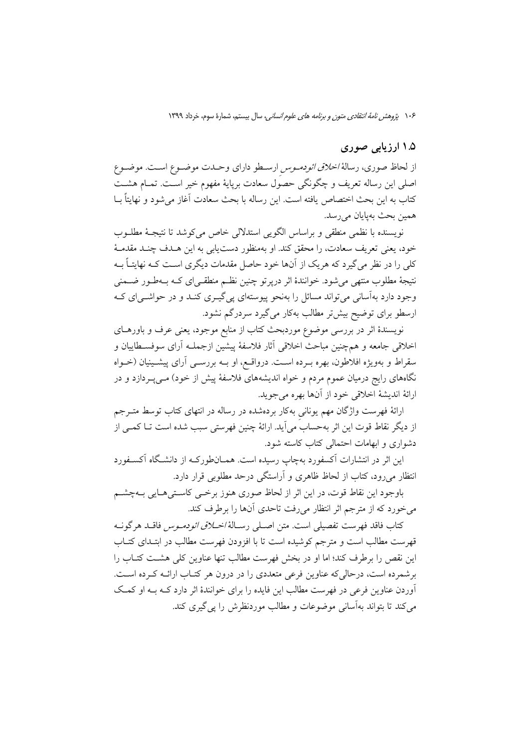### ۱.۵ ارزیابی صوری

از لحاظ صوری، رسالهٔ *اخلاق ائودمـوس* ارسـطو دارای وحـدت موضـوع اسـت. موضـوع اصلی این رساله تعریف و چگونگی حصول سعادت برپایهٔ مفهوم خیر اسـت. تمـام هشـت كتاب به اين بحث اختصاص يافته است. اين رساله با بحث سعادت آغاز مي شود و نهايتاً بــا همين بحث بهيايان مي رسد.

نويسنده با نظمي منطقي و براساس الگويبي استدلالي خاص مي كوشد تا نتيجـهٔ مطلــوب خود، يعني تعريف سعادت، را محقق كند. او بهمنظور دست يابي به اين هــدف چنــد مقدمــهٔ کلی را در نظر می گیرد که هریک از آنها خود حاصل مقدمات دیگری است کـه نهایتـاً بــه نتیجهٔ مطلوب منتهی می شود. خوانندهٔ اثر درپرتو چنین نظـم منطقـی|ی کـه بـهطـور ضــمنی وجود دارد بهآسانی می تواند مسائل را بهنحو پیوستهای یی گیـری کنـد و در حواشـی|ی کـه ارسطو برای توضیح بیشتر مطالب بهکار می گیرد سردرگم نشود.

نویسندهٔ اثر در بررسی موضوع موردبحث کتاب از منابع موجود، یعنی عرف و باورهـای اخلاقي جامعه و همچنين مباحث اخلاقي آثار فلاسفهٔ پيشين ازجملـه آراي سوفسـطاييان و سقراط و بهویژه افلاطون، بهره بــرده اســت. درواقــع، او بــه بررســی أرای پیشــینیان (خــواه نگاههای رایج درمیان عموم مردم و خواه اندیشههای فلاسفهٔ پیش از خود) مــیپــردازد و در ارائهٔ اندیشهٔ اخلاقی خود از آنها بهره می جوید.

ارائهٔ فهرست واژگان مهم یونانی بهکار بردهشده در رساله در انتهای کتاب توسط متــرجم از دیگر نقاط قوت این اثر بهحساب می آید. ارائهٔ چنین فهرستی سبب شده است تــا کمــی از دشواری و ابهامات احتمالی کتاب کاسته شود.

این اثر در انتشارات آکسفورد بهچاپ رسیده است. همــانطورکـه از دانشـگاه آکســفورد انتظار می رود، کتاب از لحاظ ظاهری و آراستگی درحد مطلوبی قرار دارد.

باوجود این نقاط قوت، در این اثر از لحاظ صوری هنوز برخمی کاستی هـایی بـهچشـم می خورد که از مترجم اثر انتظار میروفت تاحدی آنها را برطرف کند.

كتاب فاقد فهرست تفصيلي است. متن اصـلي رسـالهٔ *اخـلاق ائودمـوس* فاقــد هرگونــه قهرست مطالب است و مترجم كوشيده است تا با افزودن فهرست مطالب در ابتـداي كتـاب این نقص را برطرف کند؛ اما او در بخش فهرست مطالب تنها عناوین کلی هشـت کتـاب را برشمرده است، درحالي كه عناوين فرعي متعددي را در درون هر كتـاب ارائـه كـرده اسـت. آوردن عناوین فرعی در فهرست مطالب این فایده را برای خوانندهٔ اثر دارد کـه بـه او کمـک می کند تا بتواند بهآسانی موضوعات و مطالب موردنظرش را پی گیری کند.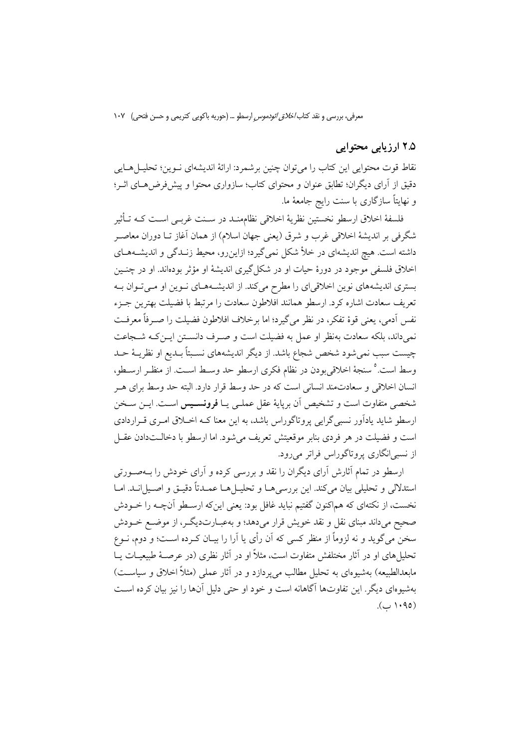# ۲.۵ ارزیابی محتوایی

نقاط قوت محتوایی این کتاب را می توان چنین برشمرد: ارائهٔ اندیشهای نــوین؛ تحلیــلهــایی دقیق از آرای دیگران؛ تطابق عنوان و محتوای کتاب؛ سازواری محتوا و پیشفررضهای اثـر؛ و نهایتاً سازگاری با سنت رایج جامعهٔ ما.

فلسفهٔ اخلاق ارسطو نخستین نظریهٔ اخلاقی نظامهنـد در سـنت غربـی اسـت کـه تـأثیر شگرفی بر اندیشهٔ اخلاقی غرب و شرق (یعنی جهان اسلام) از همان آغاز تــا دوران معاصـر داشته است. هیچ اندیشهای در خلأ شکل نمی گیرد؛ ازاینرو، محیط زنـدگی و اندیشـههـای اخلاق فلسفی موجود در دورهٔ حیات او در شکل گیری اندیشهٔ او مؤثر بودهاند. او در چنـین بستری اندیشههای نوین اخلاقیای را مطرح میکند. از اندیشـههـای نـوین او مـیتوان بـه تعريف سعادت اشاره كرد. ارسطو همانند افلاطون سعادت را مرتبط با فضيلت بهترين جـزء نفس اَدمي، يعني قوة تفكر، در نظر مي گيرد؛ اما برخلاف افلاطون فضيلت را صـرفاً معرفـت نمی داند، بلکه سعادت بهنظر او عمل به فضیلت است و صـرف دانسـتن ایـن کـه شـجاعت چیست سبب نمی شود شخص شجاع باشد. از دیگر اندیشههای نسبتاً بلدیع او نظریـهٔ حـد وسط است. ° سنجهٔ اخلاقی بودن در نظام فکری ارسطو حد وسط است. از منظـر ارسـطو، انسان اخلاقی و سعادتمند انسانی است که در حد وسط قرار دارد. البته حد وسط برای هـر شخصی متفاوت است و تشخیص آن برپایهٔ عقل عملـی یـا **فرونســیس** اســت. ایــن سـخن ارسطو شاید یادآور نسبی گرایی پروتاگوراس باشد، به این معنا کـه اخــلاق امـری قــراردادی است و فضیلت در هر فردی بنابر موقعیتش تعریف می شود. اما ارسطو با دخالـتدادن عقـل از نسبي¦نگاري پروتاگوراس فراتر ميرود.

ارسطو در تمام آثارش آرای دیگران را نقد و بررسی کرده و آرای خودش را بـهصـورتی استدلالی و تحلیلی بیان میکند. این بررسی هـا و تحلیـل هـا عمـدتاً دقیـق و اصـیل انـد. امـا نخست، از نکتهای که هماکنون گفتیم نباید غافل بود: یعنی اینکه ارسـطو آنچــه را خــودش صحیح میداند مبنای نقل و نقد خویش قرار میدهد؛ و بهعبـارتدیگـر، از موضـع خــودش سخن مي گويد و نه لزوماً از منظر كسي كه آن رأى يا آرا را بيــان كــرده اســت؛ و دوم، نــوع تحلیل های او در آثار مختلفش متفاوت است، مثلاً او در آثار نظری (در عرصـهٔ طبیعیـات یــا مابعدالطبیعه) بهشیوهای به تحلیل مطالب میپردازد و در آثار عملی (مثلاً اخلاق و سیاست) بهشیوهای دیگر . این تفاوتها آگاهانه است و خود او حتی دلیل آنها را نیز بیان کرده اسـت  $(0.1.90)$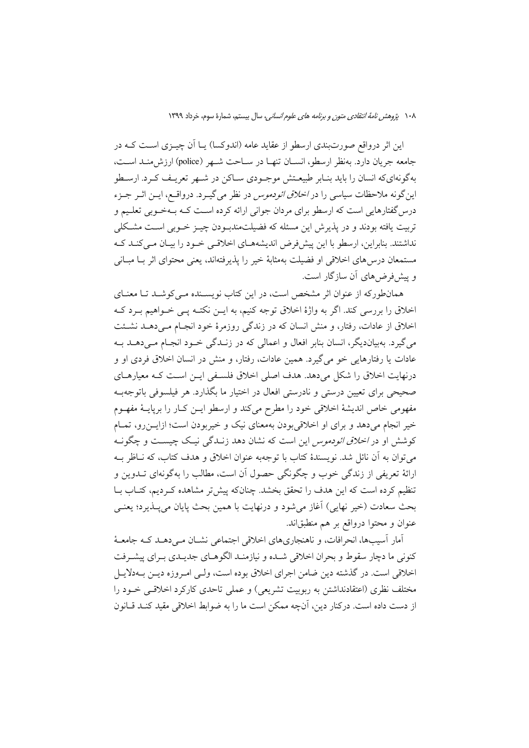این اثر درواقع صورتبندی ارسطو از عقاید عامه (اندوکسا) یــا اَن چیــزی اســت کــه در جامعه جريان دارد. بهنظر ارسطو، انســان تنهـا در ســاحت شــهر (police) ارزش.منــد اســت، بهگونهایکه انسان را باید بنـابر طبیعـتش موجـودی سـاکن در شـهر تعریـف کـرد. ارسـطو این گونه ملاحظات سیاسی را در *اخلاق ائودموس* در نظر میگیــرد. درواقــع، ایــن اثــر جــزء درس گفتارهایی است که ارسطو برای مردان جوانی ارائه کرده است کــه بــهخــوبی تعلــیم و تربیت یافته بودند و در پذیرش این مسئله که فضیلتمندبـودن چیــز خــوبی اســت مشـکلی نداشتند. بنابراین، ارسطو با این پیش فرض اندیشههای اخلاقی خود را بیان می کنـد کـه مستمعان درس های اخلاقی او فضیلت بهمثابهٔ خیر را پذیرفتهاند، یعنی محتوای اثر بـا مبـانی و پیش فرض های آن سازگار است.

همانطورکه از عنوان اثر مشخص است، در این کتاب نویسـنده مـی کوشـد تـا معنـای اخلاق را بررسی کند. اگر به واژهٔ اخلاق توجه کنیم، به ایــن نکتــه یــی خــواهیم بــرد کــه اخلاق از عادات، رفتار، و منش انسان که در زندگی روزمرهٔ خود انجـام مـی(هـد نشـئت می گیرد. بهبیاندیگر، انسان بنابر افعال و اعمالی که در زنـدگی خـود انجـام مـیدهــد بــه عادات یا رفتارهایی خو میگیرد. همین عادات، رفتار، و منش در انسان اخلاق فردی او و درنهایت اخلاق را شکل میدهد. هدف اصلی اخلاق فلسفی ایـن اسـت کـه معیارهـای صحیحی برای تعیین درستی و نادرستی افعال در اختیار ما بگذارد. هر فیلسوفی باتوجهب مفهومی خاص اندیشهٔ اخلاقی خود را مطرح میکند و ارسطو ایـن کـار را برپایــهٔ مفهــوم خیر انجام میدهد و برای او اخلاقی بودن بهمعنای نیک و خیربودن است؛ ازایــن(و، تمــام کوشش او در *اخلاق ائودموس* این است که نشان دهد زنــدگی نیــک چیســت و چگونــه مي توان به أن نائل شد. نويسندهٔ كتاب با توجهبه عنوان اخلاق و هدف كتاب، كه نــاظر بــه ارائهٔ تعریفی از زندگی خوب و چگونگی حصول آن است، مطالب را بهگونهای تــدوین و تنظیم کرده است که این هدف را تحقق بخشد. چنانکه پیش تر مشاهده کـردیم، کتـاب بـا بحث سعادت (خیر نهایی) آغاز میشود و درنهایت با همین بحث پایان میپـذیرد؛ یعنـی عنوان و محتوا درواقع بر هم منطبقاند.

آمار آسیبها، انحرافات، و ناهنجاریهای اخلاقی اجتماعی نشــان مــی دهــد کــه جامعــهٔ کنونی ما دچار سقوط و بحران اخلاقی شـده و نیازمنـد الگوهـای جدیـدی بـرای پیشـرفت اخلاقی است. در گذشته دین ضامن اجرای اخلاق بوده است، ولـی امـروزه دیـن بــهدلایـل مختلف نظری (اعتقادنداشتن به ربوبیت تشریعی) و عملی تاحدی کارکرد اخلاقی خـود را از دست داده است. درکنار دین، آنچه ممکن است ما را به ضوابط اخلاقی مقید کنـد قـانون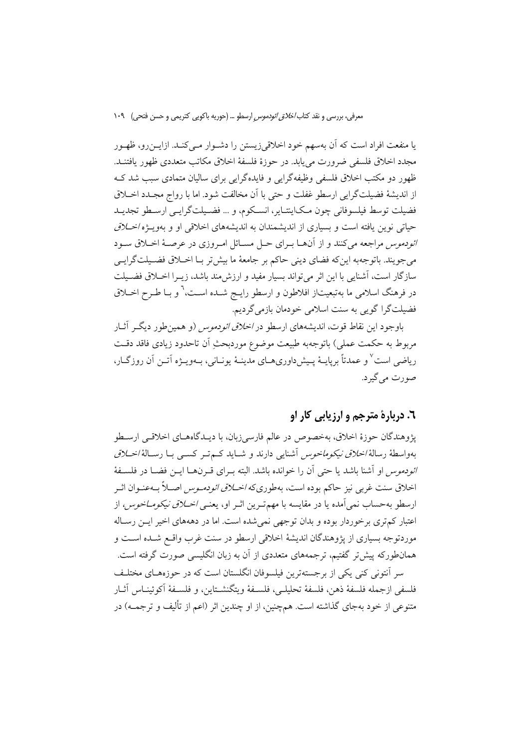یا منفعت افراد است که آن بهسهم خود اخلاقی;زیستن را دشـوار مـی کنـد. ازایــن,رو، ظهـور مجدد اخلاق فلسفی ضرورت می باید. در حوزهٔ فلسفهٔ اخلاق مکاتب متعددی ظهور یافتنید. ظهور دو مکتب اخلاق فلسفی وظیفهگرایی و فایدهگرایی برای سالیان متمادی سبب شد ک از انديشهٔ فضيلتگرايي ارسطو غفلت و حتى با أن مخالفت شود. اما با رواج مجـدد اخــلاق فضيلت توسط فيلسوفاني چون مكايتتـاير، انسـكوم، و … فضـيلتگرايـي ارسـطو تجديـد حیاتی نوین یافته است و بسیاری از اندیشمندان به اندیشههای اخلاقی او و بهویـژه *اخـلاق* ائودموس مراجعه میکنند و از آنها بـرای حـل مسـائل امـروزی در عرصـهٔ اخـلاق سـود مي جويند. باتوجهبه اين& فضاي ديني حاكم بر جامعهٔ ما بيش تر بـا اخــلاق فضـيلتگرايــي سازگار است، آشنایی با این اثر می تواند بسیار مفید و ارزش مند باشد، زیــرا اخــلاق فضــیلت در فرهنگ اسلامی ما بهتبعیتاز افلاطون و ارسطو رایـج شــده اســت، ْ و بــا طــرح اخــلاق فضیلتگرا گویی به سنت اسلامی خودمان بازمیگردیم.

باوجود این نقاط قوت، اندیشههای ارسطو در *اخلاق ائودموس* (و همین طور دیگ آثــار مربوط به حکمت عملی) باتوجهبه طبیعت موضوع موردبحثِ اَن تاحدود زیادی فاقد دقـت ریاضی است ٌ و عمدتاً برپایـهٔ پـیش(داوریهـای مدینـهٔ یونـانی، بـهویـژه اَتــن اَن روزگــار، صورت مي گيرد.

# ٦. دربارهٔ مترجم و ارزیابی کار او

يژوهندگان حوزهٔ اخلاق، بهخصوص در عالم فارسیزبان، با ديـدگاههـاي اخلاقـي ارسـطو بهواسطهٔ رسالهٔ *اخلاق نیکوماخوس* آشنایی دارند و شــاید کــمتـر کســی بــا رســالهٔ *اخــلاق ائودموس* او آشنا باشد یا حتی آن را خوانده باشد. البته بـرای قـرنهــا ایــن فضــا در فلســفهٔ اخلاق سنت غربی نیز حاکم بوده است، بهطوریکه *اخــلاق ائودمــوس* اصــلاً بــهعنــوان اثــر ارسطو بهحساب نمي آمده يا در مقايسه با مهم تـرين اثـر او، يعنـي *اخــلاق نيكومــاخوس،* از اعتبار کم تری برخوردار بوده و بدان توجهی نمی شده است. اما در دهههای اخیر ایــن رسـاله موردتوجه بسیاری از پژوهندگان اندیشهٔ اخلاقی ارسطو در سنت غرب واقـع شــده اســت و همانطورکه پیش تر گفتیم، ترجمههای متعددی از آن به زبان انگلیسی صورت گرفته است. سر آنتونی کنی یکی از برجستهترین فیلسوفان انگلستان است که در حوزههـای مختلـف

فلسفي ازجمله فلسفهٔ ذهن، فلسفهٔ تحليلے، فلسـفهٔ و بتگنشـتاين، و فلسـفهٔ آكوئينـاس آثـار متنوعی از خود بهجای گذاشته است. همچنین، از او چندین اثر (اعم از تألیف و ترجمــه) در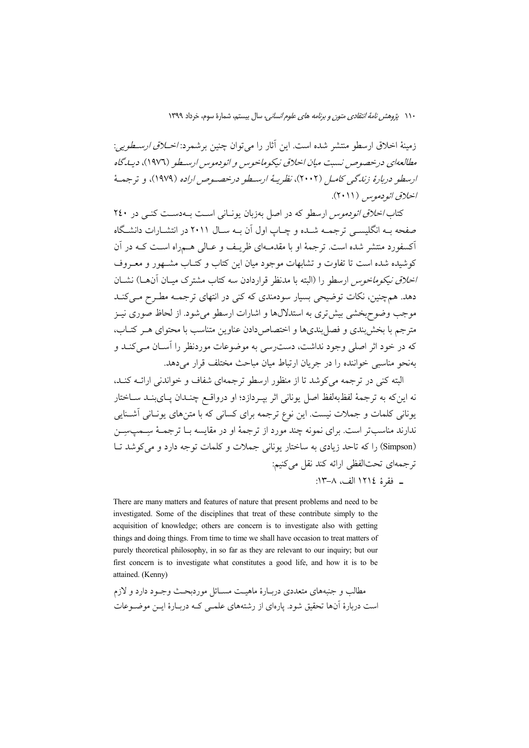زمينهٔ اخلاق ارسطو منتشر شده است. اين آثار را مي توان چنين برشمرد: *اخـلاق ارسـطويي*: مطالعهای درخصوص نسبت میان اخلاق نیکوماخوس و ائودموس ارسطو (۱۹۷۶)، دیپدگاه ارسطو دربارهٔ زندگی کامل (۲۰۰۲)، نظریهٔ ارسطو درخصوص اراده (۱۹۷۹)، و ترجمهٔ اخلاق ائو دموس (۲۰۱۱).

کتاب *اخلاق ائودموس* ارسطو که در اصل بهزبان یونیانی است به دست کنبی در ۲٤٠ صفحه بـه انگلیســی ترجمـه شــده و چـاب اول آن بـه ســال ۲۰۱۱ در انتشــارات دانشــگاه آکسفورد منتشر شده است. ترجمهٔ او با مقدمـهای ظریـف و عـالی هـمراه اسـت کـه در آن کوشیده شده است تا تفاوت و تشابهات موجود میان این کتاب و کتـاب مشــهور و معــروف *اخلاق نیکوماخوس* ارسطو را (البته با مدنظر قراردادن سه کتاب مشترک میـان آن۱.) نشــان دهد. همچنین، نکات توضیحی بسیار سودمندی که کنی در انتهای ترجمـه مطـرح مـی کنـد موجب وضوح بخشی بیش تری به استدلالها و اشارات ارسطو می شود. از لحاظ صوری نیـز مترجم با بخش بندی و فصل بندی ها و اختصاص دادن عناوین متناسب با محتوای هـر کتـاب، که در خود اثر اصلی وجود نداشت، دست سی به موضوعات موردنظر را آسـان مـی کنـد و بهنجو مناسبی خواننده را در جریان ارتباط مبان مباحث مختلف قرار می دهد.

البته کنی در ترجمه می کوشد تا از منظور ارسطو ترجمهای شفاف و خواندنی ارائــه کنــد، نه اینکه به ترجمهٔ لفظبهلفظ اصل یونانی اثر بپـردازد؛ او درواقــع چنــدان پــایبنــد ســاختار یونانی کلمات و جملات نیست. این نوع ترجمه برای کسانی که با متنهای یونـانی آشـنایی ندارند مناسبتر است. برای نمونه چند مورد از ترجمهٔ او در مقایسه بـا ترجمـهٔ ســمب $\ldots$ (Simpson) را كه تاحد زيادي به ساختار يوناني جملات و كلمات توجه دارد و مي كوشد تبا ترجمهای تحتالفظی ارائه کند نقل می کنیم: ـ فقرة ١٢١٤ الف، ٨-١٣:

There are many matters and features of nature that present problems and need to be investigated. Some of the disciplines that treat of these contribute simply to the acquisition of knowledge; others are concern is to investigate also with getting things and doing things. From time to time we shall have occasion to treat matters of purely theoretical philosophy, in so far as they are relevant to our inquiry; but our first concern is to investigate what constitutes a good life, and how it is to be attained. (Kenny)

مطالب و جنبههای متعددی دربـارهٔ ماهیـت مســائل موردبحـث وجـود دارد و لازم است دربارهٔ آنها تحقیق شود. پارهای از رشتههای علمـی کـه دربـارهٔ ایـن موضـوعات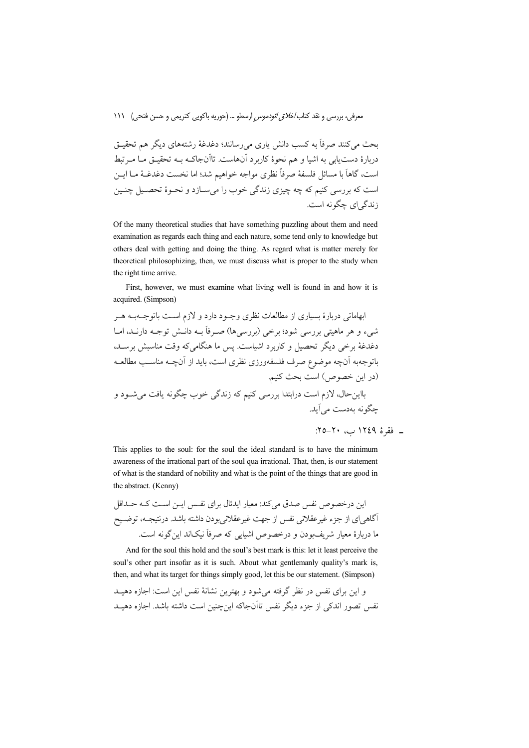بحث مرکنند صرفاً به کسب دانش باری مررسانند؛ دغدغهٔ رشتههای دیگر هم تحقیق دربارهٔ دست،یابی به اشیا و هم نحوهٔ کاربرد آنهاست. تاآنجاکـه بــه تحقیــق مــا مــرتبط است، گاهاً با مسائل فلسفهٔ صرفاً نظري مواجه خواهيم شد؛ اما نخست دغدغـهْ مـا ايــن است که بررسی کنیم که چه چیزی زندگی خوب را می سیازد و نحبوهٔ تحصیل چنین زندگی ای چگونه است.

Of the many theoretical studies that have something puzzling about them and need examination as regards each thing and each nature, some tend only to knowledge but others deal with getting and doing the thing. As regard what is matter merely for theoretical philosophizing, then, we must discuss what is proper to the study when the right time arrive.

First, however, we must examine what living well is found in and how it is acquired. (Simpson)

ابهاماتی دربارهٔ بسیاری از مطالعات نظری وجـود دارد و لازم اسـت باتوجـهبـه هـر شيء و هر ماهيتي بررسي شود؛ برخي (بررسي ها) صـرفاً بــه دانــش توجــه دارنــد، امــا دغدغهٔ برخی دیگر تحصیل و کاربرد اشیاست. پس ما هنگامی که وقت مناسبش برسـد، باتوجهبه آنچه موضوع صرف فلسفهورزي نظري است، بايد از آنچــه مناسـب مطالعــه (در این خصوص) است بحث کنیم. .<br>بااینحال، لازم است درابتدا بررسی کنیم که زندگ<sub>ی</sub> خوب چگونه یافت م<sub>ی ا</sub>شــود و چگونه بهدست می آید.

\_ فقرة ١٢٤٩ ب، ٢٠-٢٥:

This applies to the soul: for the soul the ideal standard is to have the minimum awareness of the irrational part of the soul qua irrational. That, then, is our statement of what is the standard of nobility and what is the point of the things that are good in the abstract. (Kenny)

این درخصوص نفس صدق میکند: معیار ایدئال برای نفس ایــن اسـت کــه حــداقل .<br>اگاهی ای از جزء غیرعقلانی نفس از جهت غیرعقلانی بودن داشته باشد. درنتیجــه، توضــیح ما دربارهٔ معیار شریفبودن و درخصوص اشیایی که صرفاً نیکاند این گونه است.

And for the soul this hold and the soul's best mark is this: let it least perceive the soul's other part insofar as it is such. About what gentlemanly quality's mark is, then, and what its target for things simply good, let this be our statement. (Simpson)

و این برای نفس در نظر گرفته می شود و بهترین نشانهٔ نفس این است: اجازه دهیــد نفس تصور اندکی از جزء دیگر نفس تاآنجاکه اینچنین است داشته باشد. اجازه دهیــد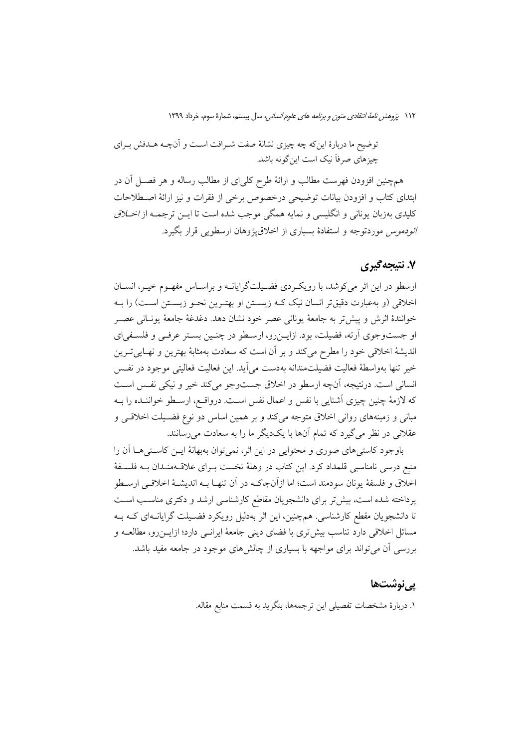توضیح ما دربارهٔ اینِ که چه چیزی نشانهٔ صفت شـرافت اسـت و آنچــه هــدفش بـرای چیزهای صرفاً نیک است اینگونه باشد.

همچنین افزودن فهرست مطالب و ارائهٔ طرح کلی/ی از مطالب رساله و هر فصـل آن در ابتدای کتاب و افزودن بیانات توضیحی درخصوص برخی از فقرات و نیز ارائهٔ اصطلاحات کلیدی بهزبان یونانی و انگلیسی و نمایه همگی موجب شده است تا ایــن ترجمــه از *اخــلاق ائودموس* موردتوجه و استفادهٔ بسیاری از اخلاق، وهان ارسطویی قرار بگیرد.

### ۷. نتیجهگیری

ارسطو در این اثر می کوشد، با رویک دی فضـیلتگرایانــه و براســاس مفهــوم خیــر، انســان اخلاقی (و بهعبارت دقیقتر انسان نیک کـه زیسـتن او بهتـرین نحـو زیسـتن اسـت) را بـه خوانندهٔ اثرش و پیش تر به جامعهٔ یونانی عصر خود نشان دهد. دغدغهٔ جامعهٔ یونـانی عصــر او جستوجوي آرته، فضيلت، بود. ازايـن٫رو، ارسـطو در چنـين بسـتر عرفـي و فلسـفياي اندیشهٔ اخلاقی خود را مطرح میکند و بر آن است که سعادت بهمثابهٔ بهترین و نهـاییتـرین خير تنها بهواسطهٔ فعاليت فضيلتمندانه بهدست مي آيد. اين فعاليت فعاليتي موجود در نفس انسانی است. درنتیجه، آنچه ارسطو در اخلاق جستوجو می کند خیر و نیکی نفس است كه لازمهٔ چنین چیزی آشنایی با نفس و اعمال نفس است. درواقـع، ارسـطو خواننـده را بــه مبانی و زمینههای روانی اخلاق متوجه میکند و بر همین اساس دو نوع فضـیلت اخلاقـی و عقلانی در نظر میگیرد که تمام آنها با یکدیگر ما را به سعادت میرسانند.

باوجود كاستي هاي صوري و محتوايي در اين اثر، نمي توان بهبهانهٔ ايـن كاسـتي هـا آن را منبع درسی نامناسبی قلمداد کرد. این کتاب در وهلهٔ نخست بـرای علاقــهمنـدان بــه فلســفهٔ اخلاق و فلسفهٔ یونان سودمند است؛ اما ازآنجاکـه در آن تنهـا بــه اندیشــهٔ اخلاقــی ارسـطو یرداخته شده است، بیش تر برای دانشجویان مقاطع کارشناسی ارشد و دکتری مناسب است تا دانشجویان مقطع کارشناسی. همچنین، این اثر بهدلیل رویکرد فضـیلت گرایانــهای کــه بــه مسائل اخلاقی دارد تناسب بیش تری با فضای دینی جامعهٔ ایرانسی دارد؛ ازایــن(و، مطالعــه و بررسی آن می تواند برای مواجهه با بسیاری از چالشهای موجود در جامعه مفید باشد.

### پينوشتھا

١. دربارهٔ مشخصات تفصیلی این ترجمهها، بنگرید به قسمت منابع مقاله.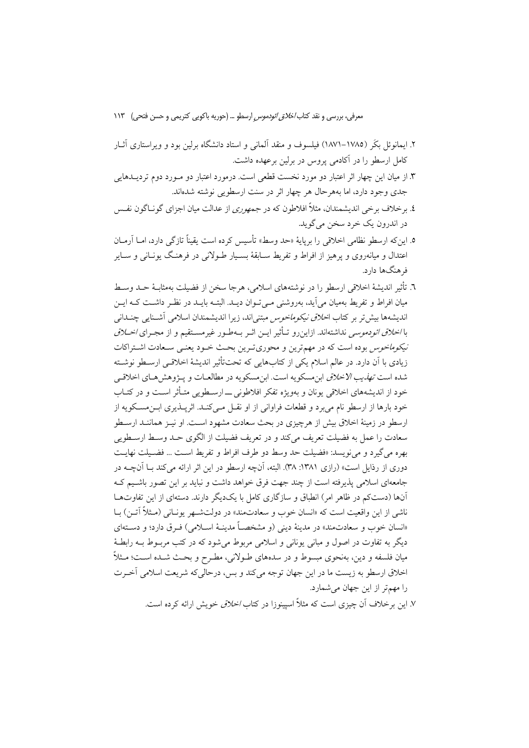- ۲. ایمانوئل بکَر (۱۷۸۵–۱۸۷۱) فیلسوف و منقد آلمانی و استاد دانشگاه برلین بود و ویراستاری آثــار كامل ارسطو را در آكادمى يووس در برلين برعهده داشت.
- ۳. از میان این چهار اثر اعتبار دو مورد نخست قطعی است. درمورد اعتبار دو مـورد دوم تردیــدهایی جدی وجود دارد، اما بههرحال هر چهار اثر در سنت ارسطویی نوشته شدهاند.
- ٤. برخلاف برخی اندیشمندان، مثلاً افلاطون که در جمهوری از عدالت میان اجزای گونــاگون نفــس در اندرون يک خرد سخن مي گويد.
- ٥. اين٤ه ارسطو نظامي اخلاقي را بريايهٔ «حد وسط» تأسيس كرده است يقيناً تازگي دارد، امــا آرمــان اعتدال و میانهروی و یرهیز از افراط و تفریط ســابقهٔ بســیار طــولانی در فرهنـگ یونــانی و ســایر فرهنگها دارد.
- ٦. تأثير انديشهٔ اخلاقي ارسطو را در نوشتههاي اسلامي، هرجا سخن از فضيلت بهمثابـهٔ حــد وســط میان افراط و تفریط بهمیان می]ید، بهروشنی مـیتـوان دیــد. البتــه بایــد در نظـر داشــت کــه ایــن اندیشهها بیش تر بر کتاب ا*خلاق نیکوماخوس* مبتنی اند، زیرا اندیشمندان اسلامی آشــنایی چنــدانی با *اخلاق ائودموسی ند*اشتهاند. ازاینرو تـأثیر ایــن اثــر بــهطـور غیرمســتقیم و از مجــرای *اخــلاق نیکوماخوس* بوده است که در مهم ترین و محوری تـرین بحـث خـود یعنـی سـعادت اشـتراکات زیادی با اَن دارد. در عالم اسلام یکی از کتابهایی که تحتتأثیر اندیشهٔ اخلاقـی ارســطو نوشــته شده است *تهذيب الاخلاق* ابن مسكويه است. ابن مسكويه در مطالعــات و يـــژوهش هــاي اخلاقــي خود از اندیشههای اخلاقی یونان و بهویژه تفکر افلاطونی ـــ ارســطویی متــأثر اســت و در کتــاب خود بارها از ارسطو نام می برد و قطعات فراوانی از او نقــل مــی کنــد. اثریــذیری ابــن.مســکویه از ارسطو در زمینهٔ اخلاق بیش از هرچیزی در بحث سعادت مشهود اسـت. او نیـز هماننـد ارسـطو سعادت را عمل به فضيلت تعريف مي كند و در تعريف فضيلت از الگوى حـد وسـط ارسـطويي بهره مي گيرد و مي نويسد: «فضيلت حد وسط دو طرف افراط و تفريط است … فضـيلت نهايـت دوری از رذایل است» (رازی ۱۳۸۱: ۳۸). البته، آنچه ارسطو در این اثر ارائه میکند بـا آنچــه در جامعهای اسلامی پذیرفته است از چند جهت فرق خواهد داشت و نباید بر این تصور باشـیم کـه آنها (دستکم در ظاهر امر) انطباق و سازگاری کامل با یکدیگر دارند. دستهای از این تفاوتهـا ناشي از اين واقعيت است كه «انسان خوب و سعادتمند» در دولتشــهر يونــاني (مــثلاً آتــن) بــا «انسان خوب و سعادتمند» در مدینهٔ دینی (و مشخصـاً مدینـهٔ اســلامی) فــرق دارد؛ و دســتهای دیگر به تفاوت در اصول و مبانی یونانی و اسلامی مربوط میشود که در کتب مربـوط بـه رابطـهٔ میان فلسفه و دین، بهنحوی مبسوط و در سدههای طـولانی، مطـرح و بحـث شـده اسـت؛ مـثلاً اخلاق ارسطو به زيست ما در اين جهان توجه مي كند و بس، درحالي كه شريعت اسلامي آخـرت را مهمتر از این جهان می شمارد.

٧. اين برخلاف آن چيزي است كه مثلاً اسپينوزا در كتا*ب اخلاق* خويش ارائه كرده است.